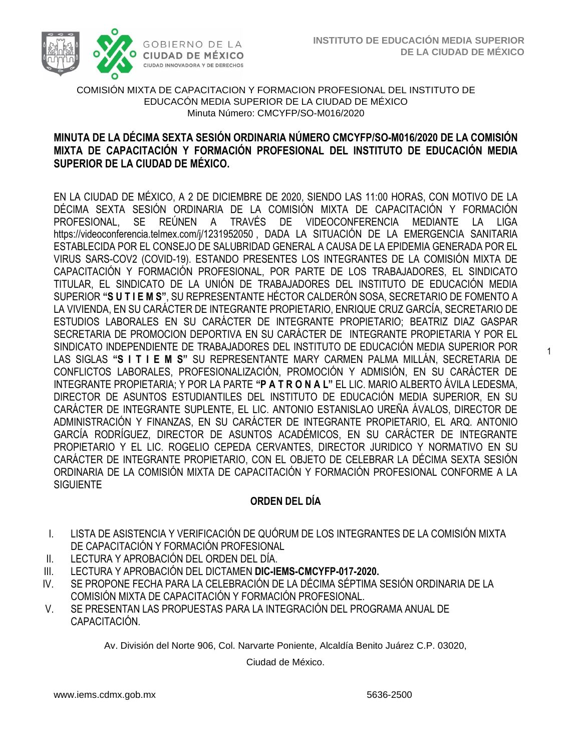1



#### COMISIÓN MIXTA DE CAPACITACION Y FORMACION PROFESIONAL DEL INSTITUTO DE EDUCACÓN MEDIA SUPERIOR DE LA CIUDAD DE MÉXICO Minuta Número: CMCYFP/SO-M016/2020

#### **MIXTA DE CAPACITACIÓN Y FORMACIÓN PROFESIONAL DEL INSTITUTO DE EDUCACIÓN MEDIA SUPERIOR DE LA CIUDAD DE MÉXICO. MINUTA DE LA DÉCIMA SEXTA SESIÓN ORDINARIA NÚMERO CMCYFP/SO-M016/2020 DE LA COMISIÓN**

EN LA CIUDAD DE MÉXICO, A 2 DE DICIEMBRE DE 2020, SIENDO LAS 11:00 HORAS, CON MOTIVO DE LA DÉCIMA SEXTA SESIÓN ORDINARIA DE LA COMISIÓN MIXTA DE CAPACITACIÓN Y FORMACIÓN PROFESIONAL, SE REÚNEN A TRAVÉS DE VIDEOCONFERENCIA MEDIANTE LA LIGA <https://videoconferencia.telmex.com/j/1231952050> , DADA LA SITUACIÓN DE LA EMERGENCIA SANITARIA ESTABLECIDA POR EL CONSEJO DE SALUBRIDAD GENERAL A CAUSA DE LA EPIDEMIA GENERADA POR EL VIRUS SARS-COV2 (COVID-19). ESTANDO PRESENTES LOS INTEGRANTES DE LA COMISIÓN MIXTA DE CAPACITACIÓN Y FORMACIÓN PROFESIONAL, POR PARTE DE LOS TRABAJADORES, EL SINDICATO TITULAR, EL SINDICATO DE LA UNIÓN DE TRABAJADORES DEL INSTITUTO DE EDUCACIÓN MEDIA SUPERIOR **"S U T I E M S"**, SU REPRESENTANTE HÉCTOR CALDERÓN SOSA, SECRETARIO DE FOMENTO A LA VIVIENDA, EN SU CARÁCTER DE INTEGRANTE PROPIETARIO, ENRIQUE CRUZ GARCÍA, SECRETARIO DE ESTUDIOS LABORALES EN SU CARÁCTER DE INTEGRANTE PROPIETARIO; BEATRIZ DIAZ GASPAR SECRETARIA DE PROMOCION DEPORTIVA EN SU CARÁCTER DE INTEGRANTE PROPIETARIA Y POR EL SINDICATO INDEPENDIENTE DE TRABAJADORES DEL INSTITUTO DE EDUCACIÓN MEDIA SUPERIOR POR LAS SIGLAS **"S I T I E M S"** SU REPRESENTANTE MARY CARMEN PALMA MILLÁN, SECRETARIA DE CONFLICTOS LABORALES, PROFESIONALIZACIÓN, PROMOCIÓN Y ADMISIÓN, EN SU CARÁCTER DE INTEGRANTE PROPIETARIA; Y POR LA PARTE **"P A T R O N A L"** EL LIC. MARIO ALBERTO ÁVILA LEDESMA, DIRECTOR DE ASUNTOS ESTUDIANTILES DEL INSTITUTO DE EDUCACIÓN MEDIA SUPERIOR, EN SU CARÁCTER DE INTEGRANTE SUPLENTE, EL LIC. ANTONIO ESTANISLAO UREÑA ÁVALOS, DIRECTOR DE ADMINISTRACIÓN Y FINANZAS, EN SU CARÁCTER DE INTEGRANTE PROPIETARIO, EL ARQ. ANTONIO GARCÍA RODRÍGUEZ, DIRECTOR DE ASUNTOS ACADÉMICOS, EN SU CARÁCTER DE INTEGRANTE PROPIETARIO Y EL LIC. ROGELIO CEPEDA CERVANTES, DIRECTOR JURIDICO Y NORMATIVO EN SU CARÁCTER DE INTEGRANTE PROPIETARIO, CON EL OBJETO DE CELEBRAR LA DÉCIMA SEXTA SESIÓN ORDINARIA DE LA COMISIÓN MIXTA DE CAPACITACIÓN Y FORMACIÓN PROFESIONAL CONFORME A LA **SIGUIENTE** 

## **ORDEN DEL DÍA**

- I. LISTA DE ASISTENCIA Y VERIFICACIÓN DE QUÓRUM DE LOS INTEGRANTES DE LA COMISIÓN MIXTA DE CAPACITACIÓN Y FORMACIÓN PROFESIONAL
- II. LECTURA Y APROBACIÓN DEL ORDEN DEL DÍA.
- III. LECTURA Y APROBACIÓN DEL DICTAMEN **DIC-IEMS-CMCYFP-017-2020.**
- IV. SE PROPONE FECHA PARA LA CELEBRACIÓN DE LA DÉCIMA SÉPTIMA SESIÓN ORDINARIA DE LA COMISIÓN MIXTA DE CAPACITACIÓN Y FORMACIÓN PROFESIONAL.
- V. SE PRESENTAN LAS PROPUESTAS PARA LA INTEGRACIÓN DEL PROGRAMA ANUAL DE CAPACITACIÓN.

Av. División del Norte 906, Col. Narvarte Poniente, Alcaldía Benito Juárez C.P. 03020,

Ciudad de México.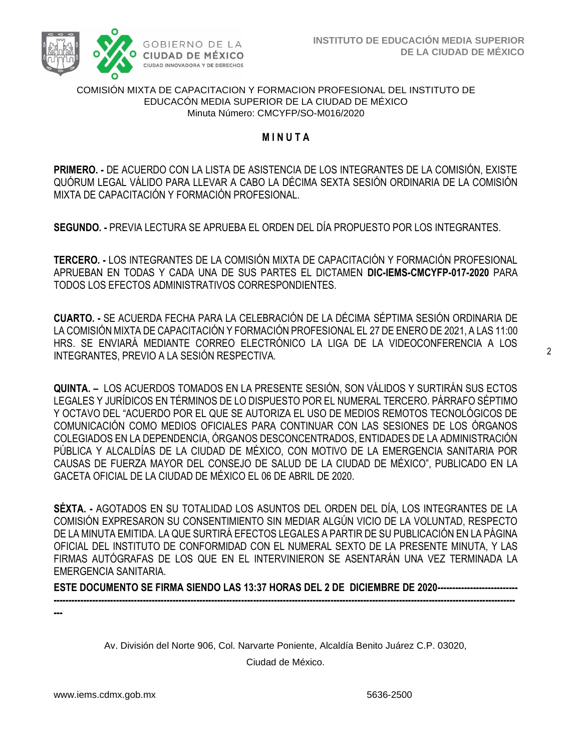

#### COMISIÓN MIXTA DE CAPACITACION Y FORMACION PROFESIONAL DEL INSTITUTO DE EDUCACÓN MEDIA SUPERIOR DE LA CIUDAD DE MÉXICO Minuta Número: CMCYFP/SO-M016/2020

#### **M I N U T A**

 **PRIMERO. -** DE ACUERDO CON LA LISTA DE ASISTENCIA DE LOS INTEGRANTES DE LA COMISIÓN, EXISTE QUÓRUM LEGAL VÁLIDO PARA LLEVAR A CABO LA DÉCIMA SEXTA SESIÓN ORDINARIA DE LA COMISIÓN MIXTA DE CAPACITACIÓN Y FORMACIÓN PROFESIONAL.

**SEGUNDO. -** PREVIA LECTURA SE APRUEBA EL ORDEN DEL DÍA PROPUESTO POR LOS INTEGRANTES.

**TERCERO. -** LOS INTEGRANTES DE LA COMISIÓN MIXTA DE CAPACITACIÓN Y FORMACIÓN PROFESIONAL APRUEBAN EN TODAS Y CADA UNA DE SUS PARTES EL DICTAMEN **DIC-IEMS-CMCYFP-017-2020** PARA TODOS LOS EFECTOS ADMINISTRATIVOS CORRESPONDIENTES.

**CUARTO. -** SE ACUERDA FECHA PARA LA CELEBRACIÓN DE LA DÉCIMA SÉPTIMA SESIÓN ORDINARIA DE LA COMISIÓN MIXTA DE CAPACITACIÓN Y FORMACIÓN PROFESIONAL EL 27 DE ENERO DE 2021, A LAS 11:00 HRS. SE ENVIARÁ MEDIANTE CORREO ELECTRÓNICO LA LIGA DE LA VIDEOCONFERENCIA A LOS INTEGRANTES, PREVIO A LA SESIÓN RESPECTIVA.

**QUINTA. –** LOS ACUERDOS TOMADOS EN LA PRESENTE SESIÓN, SON VÁLIDOS Y SURTIRÁN SUS ECTOS LEGALES Y JURÍDICOS EN TÉRMINOS DE LO DISPUESTO POR EL NUMERAL TERCERO. PÁRRAFO SÉPTIMO Y OCTAVO DEL "ACUERDO POR EL QUE SE AUTORIZA EL USO DE MEDIOS REMOTOS TECNOLÓGICOS DE COMUNICACIÓN COMO MEDIOS OFICIALES PARA CONTINUAR CON LAS SESIONES DE LOS ÓRGANOS COLEGIADOS EN LA DEPENDENCIA, ÓRGANOS DESCONCENTRADOS, ENTIDADES DE LA ADMINISTRACIÓN PÚBLICA Y ALCALDÍAS DE LA CIUDAD DE MÉXICO, CON MOTIVO DE LA EMERGENCIA SANITARIA POR CAUSAS DE FUERZA MAYOR DEL CONSEJO DE SALUD DE LA CIUDAD DE MÉXICO", PUBLICADO EN LA GACETA OFICIAL DE LA CIUDAD DE MÉXICO EL 06 DE ABRIL DE 2020.

**SÉXTA. -** AGOTADOS EN SU TOTALIDAD LOS ASUNTOS DEL ORDEN DEL DÍA, LOS INTEGRANTES DE LA COMISIÓN EXPRESARON SU CONSENTIMIENTO SIN MEDIAR ALGÚN VICIO DE LA VOLUNTAD, RESPECTO DE LA MINUTA EMITIDA. LA QUE SURTIRÁ EFECTOS LEGALES A PARTIR DE SU PUBLICACIÓN EN LA PÁGINA OFICIAL DEL INSTITUTO DE CONFORMIDAD CON EL NUMERAL SEXTO DE LA PRESENTE MINUTA, Y LAS FIRMAS AUTÓGRAFAS DE LOS QUE EN EL INTERVINIERON SE ASENTARÁN UNA VEZ TERMINADA LA EMERGENCIA SANITARIA.

**ESTE DOCUMENTO SE FIRMA SIENDO LAS 13:37 HORAS DEL 2 DE DICIEMBRE DE 2020--------------------------- -----------------------------------------------------------------------------------------------------------------------------------------------------------**

**---**

Av. División del Norte 906, Col. Narvarte Poniente, Alcaldía Benito Juárez C.P. 03020,

Ciudad de México.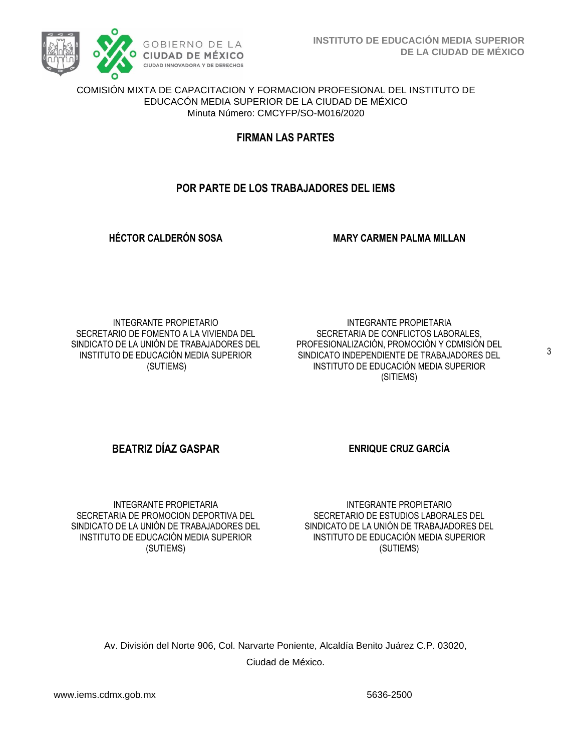

#### COMISIÓN MIXTA DE CAPACITACION Y FORMACION PROFESIONAL DEL INSTITUTO DE EDUCACÓN MEDIA SUPERIOR DE LA CIUDAD DE MÉXICO Minuta Número: CMCYFP/SO-M016/2020

**FIRMAN LAS PARTES**

## **POR PARTE DE LOS TRABAJADORES DEL IEMS**

**HÉCTOR CALDERÓN SOSA MARY CARMEN PALMA MILLAN**

INTEGRANTE PROPIETARIO SECRETARIO DE FOMENTO A LA VIVIENDA DEL SINDICATO DE LA UNIÓN DE TRABAJADORES DEL INSTITUTO DE EDUCACIÓN MEDIA SUPERIOR (SUTIEMS)

INTEGRANTE PROPIETARIA SECRETARIA DE CONFLICTOS LABORALES, PROFESIONALIZACIÓN, PROMOCIÓN Y CDMISIÓN DEL SINDICATO INDEPENDIENTE DE TRABAJADORES DEL INSTITUTO DE EDUCACIÓN MEDIA SUPERIOR (SITIEMS)

## **BEATRIZ DÍAZ GASPAR ENRIQUE CRUZ GARCÍA**

INTEGRANTE PROPIETARIA SECRETARIA DE PROMOCION DEPORTIVA DEL SINDICATO DE LA UNIÓN DE TRABAJADORES DEL INSTITUTO DE EDUCACIÓN MEDIA SUPERIOR (SUTIEMS)

INTEGRANTE PROPIETARIO SECRETARIO DE ESTUDIOS LABORALES DEL SINDICATO DE LA UNIÓN DE TRABAJADORES DEL INSTITUTO DE EDUCACIÓN MEDIA SUPERIOR (SUTIEMS)

Av. División del Norte 906, Col. Narvarte Poniente, Alcaldía Benito Juárez C.P. 03020, Ciudad de México.